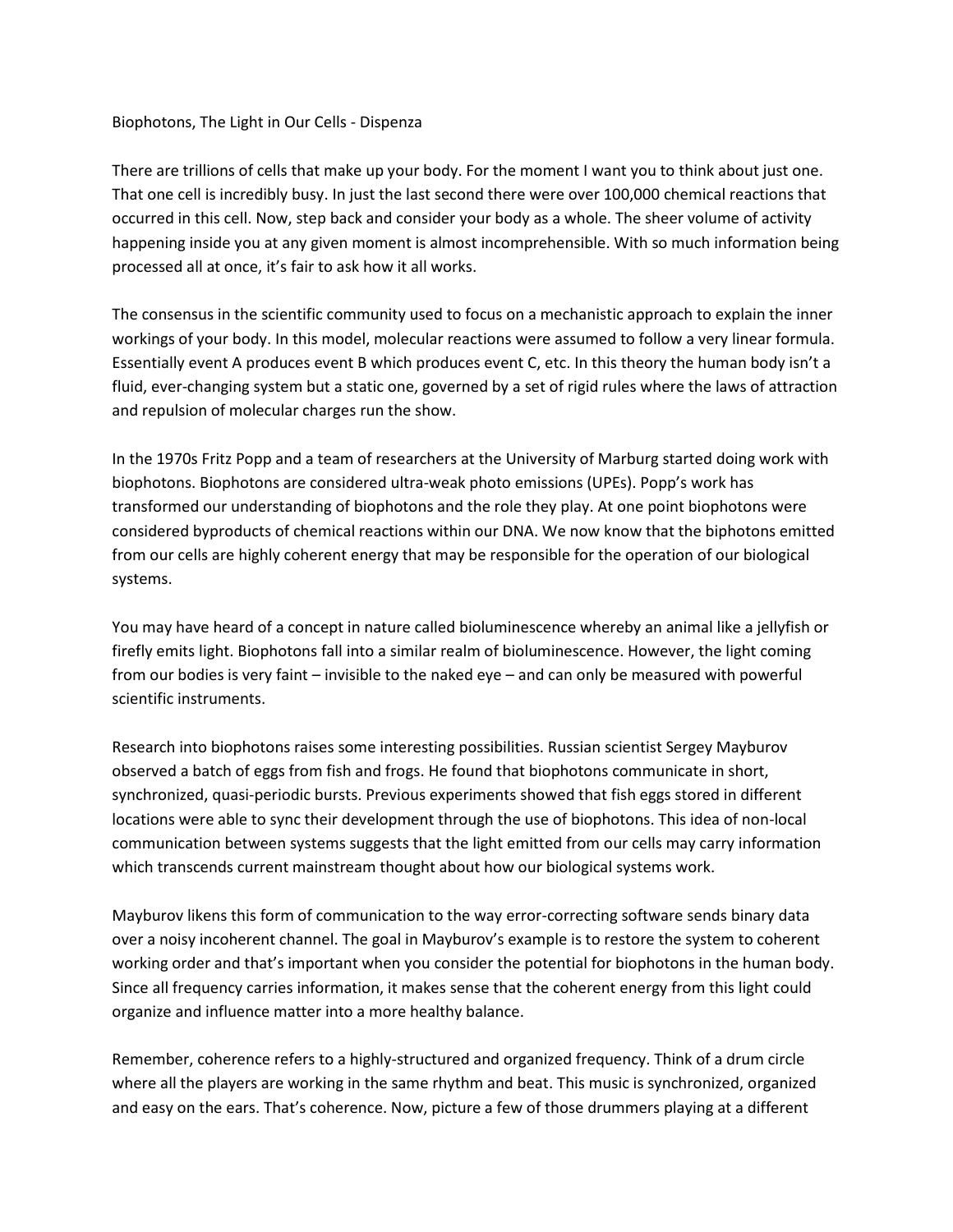## Biophotons, The Light in Our Cells - Dispenza

There are trillions of cells that make up your body. For the moment I want you to think about just one. That one cell is incredibly busy. In just the last second there were over 100,000 chemical reactions that occurred in this cell. Now, step back and consider your body as a whole. The sheer volume of activity happening inside you at any given moment is almost incomprehensible. With so much information being processed all at once, it's fair to ask how it all works.

The consensus in the scientific community used to focus on a mechanistic approach to explain the inner workings of your body. In this model, molecular reactions were assumed to follow a very linear formula. Essentially event A produces event B which produces event C, etc. In this theory the human body isn't a fluid, ever-changing system but a static one, governed by a set of rigid rules where the laws of attraction and repulsion of molecular charges run the show.

In the 1970s Fritz Popp and a team of researchers at the University of Marburg started doing work with biophotons. Biophotons are considered ultra-weak photo emissions (UPEs). Popp's work has transformed our understanding of biophotons and the role they play. At one point biophotons were considered byproducts of chemical reactions within our DNA. We now know that the biphotons emitted from our cells are highly coherent energy that may be responsible for the operation of our biological systems.

You may have heard of a concept in nature called bioluminescence whereby an animal like a jellyfish or firefly emits light. Biophotons fall into a similar realm of bioluminescence. However, the light coming from our bodies is very faint – invisible to the naked eye – and can only be measured with powerful scientific instruments.

Research into biophotons raises some interesting possibilities. Russian scientist Sergey Mayburov observed a batch of eggs from fish and frogs. He found that biophotons communicate in short, synchronized, quasi-periodic bursts. Previous experiments showed that fish eggs stored in different locations were able to sync their development through the use of biophotons. This idea of non-local communication between systems suggests that the light emitted from our cells may carry information which transcends current mainstream thought about how our biological systems work.

Mayburov likens this form of communication to the way error-correcting software sends binary data over a noisy incoherent channel. The goal in Mayburov's example is to restore the system to coherent working order and that's important when you consider the potential for biophotons in the human body. Since all frequency carries information, it makes sense that the coherent energy from this light could organize and influence matter into a more healthy balance.

Remember, coherence refers to a highly-structured and organized frequency. Think of a drum circle where all the players are working in the same rhythm and beat. This music is synchronized, organized and easy on the ears. That's coherence. Now, picture a few of those drummers playing at a different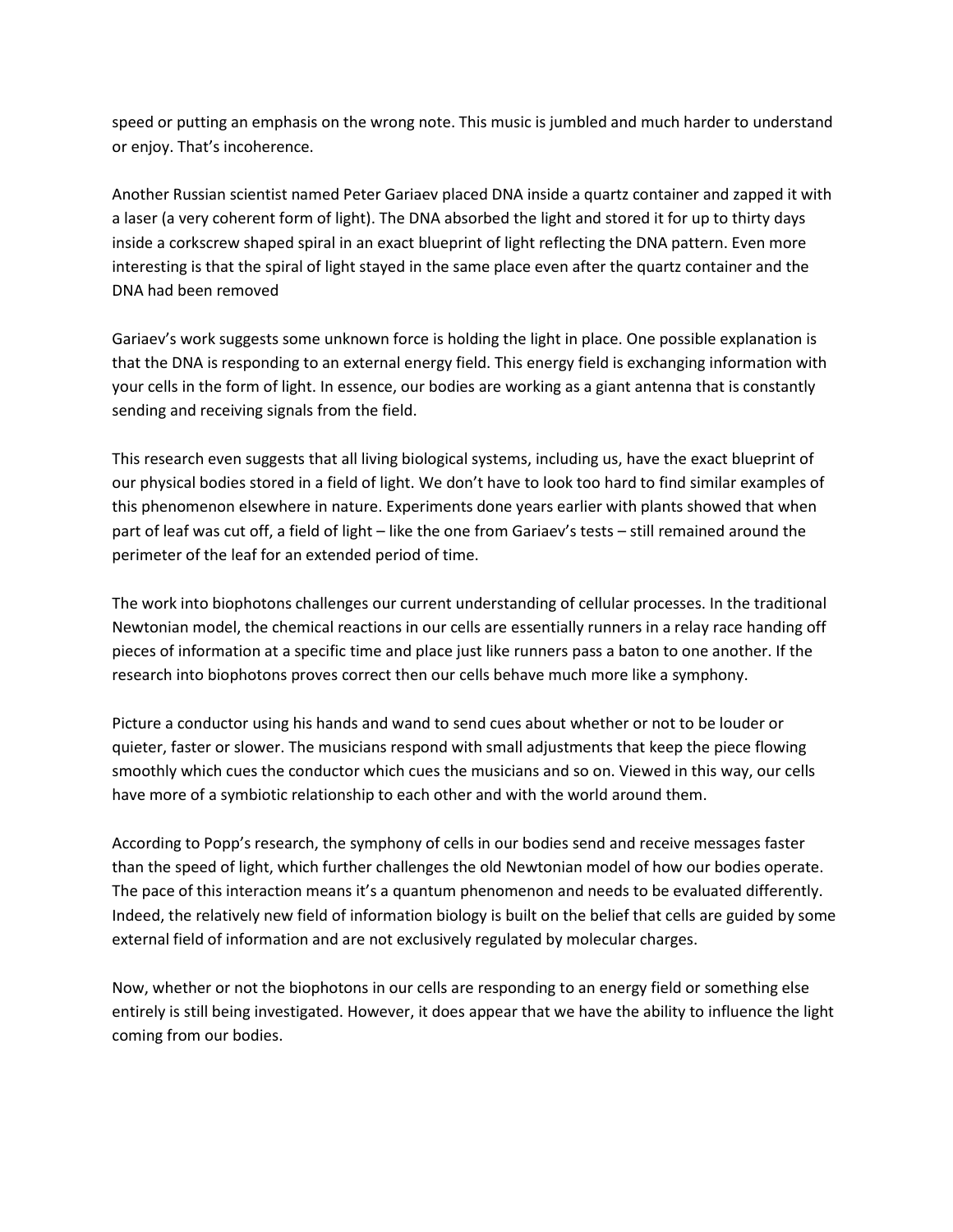speed or putting an emphasis on the wrong note. This music is jumbled and much harder to understand or enjoy. That's incoherence.

Another Russian scientist named Peter Gariaev placed DNA inside a quartz container and zapped it with a laser (a very coherent form of light). The DNA absorbed the light and stored it for up to thirty days inside a corkscrew shaped spiral in an exact blueprint of light reflecting the DNA pattern. Even more interesting is that the spiral of light stayed in the same place even after the quartz container and the DNA had been removed

Gariaev's work suggests some unknown force is holding the light in place. One possible explanation is that the DNA is responding to an external energy field. This energy field is exchanging information with your cells in the form of light. In essence, our bodies are working as a giant antenna that is constantly sending and receiving signals from the field.

This research even suggests that all living biological systems, including us, have the exact blueprint of our physical bodies stored in a field of light. We don't have to look too hard to find similar examples of this phenomenon elsewhere in nature. Experiments done years earlier with plants showed that when part of leaf was cut off, a field of light – like the one from Gariaev's tests – still remained around the perimeter of the leaf for an extended period of time.

The work into biophotons challenges our current understanding of cellular processes. In the traditional Newtonian model, the chemical reactions in our cells are essentially runners in a relay race handing off pieces of information at a specific time and place just like runners pass a baton to one another. If the research into biophotons proves correct then our cells behave much more like a symphony.

Picture a conductor using his hands and wand to send cues about whether or not to be louder or quieter, faster or slower. The musicians respond with small adjustments that keep the piece flowing smoothly which cues the conductor which cues the musicians and so on. Viewed in this way, our cells have more of a symbiotic relationship to each other and with the world around them.

According to Popp's research, the symphony of cells in our bodies send and receive messages faster than the speed of light, which further challenges the old Newtonian model of how our bodies operate. The pace of this interaction means it's a quantum phenomenon and needs to be evaluated differently. Indeed, the relatively new field of information biology is built on the belief that cells are guided by some external field of information and are not exclusively regulated by molecular charges.

Now, whether or not the biophotons in our cells are responding to an energy field or something else entirely is still being investigated. However, it does appear that we have the ability to influence the light coming from our bodies.